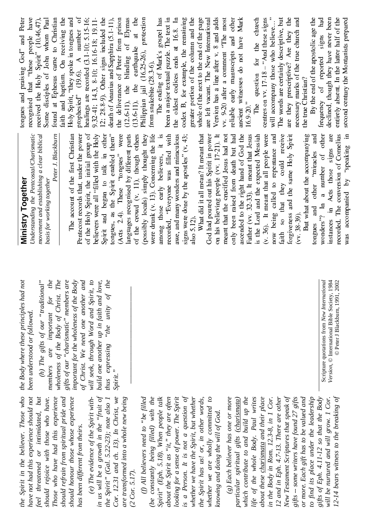*Understanding the Pentcostal/Charism* Understanding the Pentcostal/Charismatic *movement and establishing a clear biblical ment and establishing a clear biblical Peter J. Blackburn*  $C = 2$   $\frac{1}{2}$   $\frac{1}{2}$   $\frac{1}{2}$   $\frac{1}{2}$   $\frac{1}{2}$   $\frac{1}{2}$   $\frac{1}{2}$   $\frac{1}{2}$   $\frac{1}{2}$   $\frac{1}{2}$   $\frac{1}{2}$   $\frac{1}{2}$   $\frac{1}{2}$   $\frac{1}{2}$   $\frac{1}{2}$   $\frac{1}{2}$   $\frac{1}{2}$   $\frac{1}{2}$   $\frac{1}{2}$   $\frac{1}{2}$   $\frac{1}{2}$   $\frac{$  $H = 50^{\circ}$  9 2 7 2 Pentecost records that, under the power<br>of the Holy Spirit, the initial group of er the p<br>ital grou<br>ith the<br>k in<br>abled the<br>gues" \_ \_ \_ \_ \_ . . . . .e. e. e. e. .<br>.e. e. e. . ತ ಕ ೧೬ ಕ ೫ /+ 5 T V A G T  $+$   $>$   $+$   $\cdot$  0  $\infty$ <A@  $\begin{array}{c}\n\text{He II} \\
\text{He II} \\
\text{He II} \\
\text{He II} \\
\text{He II} \\
\text{He II} \\
\text{He II} \\
\text{He II} \\
\text{He II} \\
\text{He II} \\
\text{He II} \\
\text{He II} \\
\text{He II} \\
\text{He II} \\
\text{He II} \\
\text{He II} \\
\text{He II} \\
\text{He II} \\
\text{He II} \\
\text{He II} \\
\text{He II} \\
\text{He II} \\
\text{He II} \\
\text{He II} \\
\text{He II} \\
\text{He II} \\
\text{He II} \\
\text{He II} \\
\text{He II} \\
\text{He II} \\
\text$ =E an to talk i<br>Spirit enables<br>nese "tongues<br>nised by difference other<br>them''<br>were<br>parts \_\_\_\_ bled<br>Jues'<br>Herei pough<br>Jues pough  $\Xi$   $\sim$   $\Xi$   $\Xi$ <sup>f</sup> <sup>w</sup> <sup>x</sup> 0 2 3 4 5  $x$   $\frac{3}{1}$   $\frac{4}{1}$   $\frac{4}{1}$   $\frac{4}{1}$   $\frac{4}{1}$   $\frac{4}{1}$   $\frac{4}{1}$   $\frac{4}{1}$   $\frac{4}{1}$   $\frac{4}{1}$   $\frac{4}{1}$   $\frac{4}{1}$   $\frac{4}{1}$   $\frac{4}{1}$   $\frac{4}{1}$   $\frac{4}{1}$   $\frac{4}{1}$   $\frac{4}{1}$   $\frac{4}{1}$   $\frac{4}{1}$   $\frac{4}{1}$   $\frac{4}{1$ . . . . . . . ਥ ਭੂ ਬੁ .≣  $\overline{t}$   $\overline{t}$   $\overline{t}$   $\overline{t}$   $\overline{t}$   $\overline{t}$   $\overline{t}$   $\overline{t}$   $\overline{t}$   $\overline{t}$   $\overline{t}$   $\overline{t}$   $\overline{t}$   $\overline{t}$   $\overline{t}$   $\overline{t}$   $\overline{t}$   $\overline{t}$   $\overline{t}$   $\overline{t}$   $\overline{t}$   $\overline{t}$   $\overline{t}$   $\overline{t}$   $\overline{$  $\sharp$   $\bar{\Xi}$   $\bar{\Xi}$  . ough o<br>hought<br>ming the<br>svers, i<br>filled<br>filled<br>d miraco  $9 \times 1$ ough<br>ing t<br>filled<br>filled<br>mira<br>lles  $\sim$   $\sim$   $\sim$   $\sim$   $\sim$   $\sim$  ¤¯¤ . . . . **.** . ±² ³¯´ ÷ ខេ ឌី ឌី ° ≀⊓ □ \_\_ it i<br>d with<br> $d$  with<br> $\alpha$  or 43<br>(v. 43<br>and thas recorded, "Everyone was filled with<br>awe, and many wonders and miraculous me was fill<br>mders and mi<br>*t* the apostles<br>1 mean? It m<br>1 mis Spirit i – – – – – –  $\sim$   $\sim$   $\sim$ <sup>Ë</sup> <sup>É</sup>  $\frac{1}{s}$  (v. 43)<br>teant that<br>eant that <sup>Á</sup> <sup>¾</sup> <sup>Å</sup>  $\overline{E}$   $\overline{E}$   $\overline{E}$   $\overline{E}$   $\overline{E}$   $\overline{E}$   $\overline{E}$   $\overline{E}$   $\overline{E}$   $\overline{E}$   $\overline{E}$   $\overline{E}$   $\overline{E}$   $\overline{E}$   $\overline{E}$   $\overline{E}$   $\overline{E}$   $\overline{E}$   $\overline{E}$   $\overline{E}$   $\overline{E}$   $\overline{E}$   $\overline{E}$   $\overline{E}$   $\overline{$ A STREET A STREET A STREET A STREET A STREET A STREET A STREET A STREET A STREET A STREET A STREET A STREET A ÕÖ <sup>×</sup> Ø
Ù also 5.12).<br>What did it all mean? It meant that ទះ<br>ត្រូវ<br>ត្រូវ æê  $\frac{1}{4}$   $\frac{5}{1}$  $\frac{7}{1}$  $\frac{7}{8}$  $\frac{1}{8}$  $\frac{1}{8}$  $\Xi$   $\Xi$   $\Xi$   $\Xi$   $\Xi$  . ig<br>eden<br>and <sup>ü</sup> <sup>ô</sup> <sup>ð</sup> ý÷ <sup>ö</sup>  $\frac{1}{2}$ <br>  $\frac{1}{2}$ <br>  $\frac{1}{2}$ <br>  $\frac{1}{2}$ <br>  $\frac{1}{2}$ <br>  $\frac{1}{2}$ <br>  $\frac{1}{2}$ <br>  $\frac{1}{2}$ <br>  $\frac{1}{2}$ <br>  $\frac{1}{2}$ <br>  $\frac{1}{2}$ <br>  $\frac{1}{2}$ <br>  $\frac{1}{2}$ <br>  $\frac{1}{2}$ <br>  $\frac{1}{2}$ <br>  $\frac{1}{2}$ <br>  $\frac{1}{2}$ <br>  $\frac{1}{2}$ <br>  $\frac{1}{2}$ <br>  $\frac{1}{2}$ <br>  $\frac{21}{3}$ . I<br>ad no<br>ad had<br>d the sun<br>Jesui ខ តូ ី ដូ \_ \_ \_ \_ \_ \_ \_ . . . . . . ខែឧម្រះ ៩  $\begin{array}{c} \text{but h} \\ \text{Jod t} \\ \text{at Jess} \\ \text{dessi} \\ \text{be we}\\ \text{ac a} \end{array}$  G G G<br>
ant that<br>
excted M<br>
l people<br>
pentanc<br>
pentanc<br>
r . . 1 1 d H eant that J<br>bected Mes<br>all people v<br>repentance<br>repentance  $\Rightarrow$   $\overline{a}$   $\overline{b}$   $\overline{d}$   $\overline{c}$ pected<br>all pec<br>repent<br>could<br>could<br>me Hc  $\begin{array}{c} \bullet \text{ is } \ \bullet \ \bullet \ \text{ is } \ \bullet \ \text{ is } \ \bullet \ \text{ is } \ \bullet \ \text{ is } \ \bullet \ \text{ is } \end{array}$ @  $\begin{array}{c}\n\text{hat all} \\
\text{to} \\
\text{by} \\
\text{c} \\
\text{c} \\
\text{v}\n\end{array}$ TER O  $\blacksquare$ \U] . – . .  $\Xi$   $\Xi$   $\Xi$  $\mathcal{S}$  is  $\mathcal{S}$ ರಲ್ಲಿ ಈ ರ could<br>ne Hol<br>accom<br>iniracl<br>ber o  $\blacksquare$  $\frac{1}{2}$  different  $\frac{1}{2}$  $\begin{array}{cc}\n\bullet & \text{H} \\
\bullet & \text{QSO} \\
\text{mif } \text{QSO} \\
\text{N} & \text{S} \\
\text{N} & \text{S}\n\end{array}$  $\bar{\mathbf{P}}$  and  $\bar{\mathbf{P}}$  and  $\bar{\mathbf{P}}$  $\sim$  h  $\sim$  $\overline{\phantom{a}}$   $\overline{\phantom{a}}$   $\overline{\phantom{a}}$   $\overline{\phantom{a}}$   $\overline{\phantom{a}}$   $\overline{\phantom{a}}$   $\overline{\phantom{a}}$   $\overline{\phantom{a}}$   $\overline{\phantom{a}}$   $\overline{\phantom{a}}$   $\overline{\phantom{a}}$   $\overline{\phantom{a}}$   $\overline{\phantom{a}}$   $\overline{\phantom{a}}$   $\overline{\phantom{a}}$   $\overline{\phantom{a}}$   $\overline{\phantom{a}}$   $\overline{\phantom{a}}$   $\overline{\$  $\Xi$  and  $\Xi$  $\alpha$   $\Xi$   $\alpha$  $\cdots$  x  $\cdots$  x  $\cdots$  x  $\cdots$  x  $\cdots$  x  $\cdots$  x  $\cdots$  x  $\cdots$  x  $\cdots$  x  $\cdots$  x  $\cdots$  x  $\cdots$  x  $\cdots$  x  $\cdots$  x  $\cdots$  x  $\cdots$  x  $\cdots$  x  $\cdots$  x  $\cdots$  x  $\cdots$  x  $\cdots$  x  $\cdots$  x  $\cdots$  x  $\cdots$  x  $\cdots$  x  $\cdots$  x  $\cdots$  x  $\cdots$  ${\rm panyi} \atop {\rm cs} \atop {\rm d} \atop {\rm d} \atop {\rm d} \atop {\rm sms} \atop {\rm sms} \atop {\rm s} \atop {\rm s} \atop {\rm s} \end{array} .$ . . . . . . . .  $\overline{a}$  is a  $\overline{a}$  : ਾ ਅਨੁਸਾਰ value of the contract of the contract of the contract of the contract of the contract of the contract of the contract of the contract of the contract of the contract of the contract of the contract of the contract of the c ង គូល្អ  $z_{\rm max}$  $\frac{1}{2}$ <br> $\frac{1}{2}$ <br> $\frac{1}{2}$ <br> $\frac{1}{2}$ <br> $\frac{1}{2}$ <br> $\frac{1}{2}$ <br><br> $\frac{1}{2}$ <br><br><br><br><br><br><br><br><br><br><br><br><br><br><br><br><br><br><br><br><br><br><br><br><br><br><br><br><br> <u>value</u> of the contract of the contract of the contract of the contract of the contract of the contract of the contract of the contract of the contract of the contract of the contract of the contract of the contract of the  $\blacksquare$  you are the set of the set of the set of the set of the set of the set of the set of the set of the set of the set of the set of the set of the set of the set of the set of the set of the set of the set of the set recorded. The conversion of Cornelius  $\mathcal{L}$  ងា **ਂ** ਯ  $\ddot{\bar{u}}$  , and the set  $\sim$   $\sim$  $\ddot{\mathbf{x}}$  $\sim$  0.000  $\sim$  0.000  $\sim$  0.000  $\sim$  0.000  $\sim$  0.000  $\sim$  0.000  $\sim$  0.000  $\sim$  0.000  $\sim$  0.000  $\sim$  0.000  $\sim$  0.000  $\sim$  0.000  $\sim$  0.000  $\sim$  0.000  $\sim$  0.000  $\sim$  0.000  $\sim$  0.000  $\sim$  0.000  $\sim$  0.000  $\sim$  0.000 g strandern strander strander strander som starter strander strander strander strander som starter strander st<br>Princhen strander strander strander strander strander som starter strander strander strander som strander som . ⊴ ت با v} |  $\begin{array}{c} \n\text{is} \ \text{if} \ \text{if} \ \text{if} \ \text{if} \ \text{if} \ \text{if} \ \text{if} \ \text{if} \ \text{if} \ \text{if} \ \text{if} \ \text{if} \ \text{if} \ \text{if} \ \text{if} \ \text{if} \ \text{if} \ \text{if} \ \text{if} \ \text{if} \ \text{if} \ \text{if} \ \text{if} \ \text{if} \ \text{if} \ \text{if} \ \text{if} \ \text{if} \ \text{if} \ \text{if} \ \text{if} \ \text{if} \ \text{if} \ \text{if} \ \$ } . . . **. . .** . . . <sup>x</sup>  $\frac{1}{2}$   $\frac{1}{2}$   $\frac{1}{2}$   $\mathfrak{g}$   $\mathfrak{g} \in \mathfrak{g}$  . . . . . . . . . . .  $\overline{a}$ ,  $\overline{b}$  ,  $\overline{c}$  ,  $\overline{c}$  ,  $\overline{a}$  ,  $\overline{a}$   $E = \frac{1}{2}$   $\approx$   $\frac{1}{2}$  $\Xi \boxtimes \Xi$   $\Xi$  : <sup>는 01</sup> ... 이  $\circ$  . If  $E$  is  $E$  is  $\frac{1}{2}$  . If  $\frac{1}{2}$  $\circ$   $\times$   $\circ$ <sup>|</sup> \_\_\_\_\_\_\_ uvullar turisi bulan kara y . . . . . . . . eived<br>me d<br>md an<br>h sp<br>ly Sp<br>phesi **느** 끔 쁘 ㅡ .  $\frac{3}{5}$   $\frac{8}{5}$   $\frac{8}{5}$   $\frac{8}{5}$   $\frac{8}{5}$   $\frac{8}{5}$ ----- $\lim_{x \to 0} \frac{1}{x}$ <br> $\lim_{x \to 0} \frac{1}{x}$ <br> $\lim_{x \to 0} \frac{1}{x}$ received the Holy Spirit" (10.46,47). ក ដ :ផ <del>ដ</del> ដ ៓ ៜ ៑ . . -- - - -ូ a អូ<br>កំពុង<br>កំពុង និង  $\exists \frac{1}{12} \frac{1}{12} \frac{1}{2}$ ៦ ខែមី ខែមី \_ … \_ \_ \_ «¬ 45234 ¡  $\overline{a}$   $\overline{a}$   $\overline{b}$   $\overline{c}$   $\overline{c}$   $\overline{c}$   $\overline{c}$   $\overline{c}$   $\overline{c}$   $\overline{c}$   $\overline{c}$   $\overline{c}$   $\overline{c}$   $\overline{c}$   $\overline{c}$   $\overline{c}$   $\overline{c}$   $\overline{c}$   $\overline{c}$   $\overline{c}$   $\overline{c}$   $\overline{c}$   $\overline{c}$   $\overline{c}$   $\overline{$ °⊂ °° ° ° ° ° ° ° °  at E<br>and b<br>spirit,<br>Spirit,<br>esied"<br>ggs are<br>41; 14  $\frac{3}{2}$   $\frac{4}{2}$   $\frac{4}{2}$ ¦¯  $\begin{array}{c} \bullet \\ \bullet \end{array} \stackrel{\text{e}}{=} \begin{array}{c} \square \\ \square \end{array} \end{array} \begin{array}{c} \square \\ \square \end{array}$ <sup>³</sup> «´¤'¥¤±¯ <sup>¬</sup>  $\frac{1}{10}$  $\frac{1}{10}$  $\frac{1}{10}$  $\frac{1}{10}$  $\frac{1}{10}$  $\frac{1}{10}$  $\frac{1}{10}$  $\frac{1}{10}$  $\frac{1}{10}$ ¶º »  $\ddot{\phantom{a}}$ ፡፡ ¥ ፡፡ የ . ¿À  $\sim$   $\infty$   $\sim$   $\sim$ ÂÃÄ ÷'ŷ . . . **.** . . <sup>Æ</sup> ੩ ੩ ° ≍∶ Ç'È — <del>—</del> — IV — ات مہ مندس م  $\mathbf{H}$   $\mathbf{R}$   $\mathbf{a}$   $\mathbf{A}$ prophesied"  $(19.6)$ . A number of  $\stackrel{\text{def}}{=}$   $\stackrel{\text{def}}{=}$   $\stackrel{\text{def}}{=}$   $\stackrel{\text{def}}{=}$ ¾½ è de la construcción de la construcción de la construcción de la construcción de la construcción de la construcción de la construcción de la construcción de la construcción de la construcción de la construcción de la const e in to<br>
A n<br>
A 1<br>
5.16<br>
angphia<br>
apphia  $\frac{a}{b}$   $\frac{c}{d}$   $\frac{d}{d}$   $\frac{d}{d}$   $\frac{d}{d}$ ¶º » ÂȽ esied" ( $9$ <br>gs are re<br> $41$ ;  $14.3$ ,  $0$ <br> $8.8-9$ ). O<br>of Anania<br>eliverance  $\begin{array}{c}\n 0. & A \\
 \text{f0} & 16.1 \\
 10. & 16.1 \\
 \text{or} & \text{signs} \\
 \text{and} & \text{Sapp} \\
 \text{and} & \text{Sapp} \\
 \text{of Peter}\n \end{array}$ <sup>Ð</sup> ⊉್ಲ ರೇ <sup>Â</sup>  $\mathcal{F} \circ \mathcal{F} = \mathcal{B} \circ \mathcal{F}$  $\frac{1}{3}$  $\frac{3}{4}$  $\frac{3}{4}$  $\frac{3}{4}$  $\frac{3}{4}$  $\frac{3}{4}$  $\frac{3}{4}$  $\frac{3}{4}$  $\frac{3}{4}$  $\frac{3}{4}$  $\frac{3}{4}$  $\frac{3}{4}$  $\frac{3}{4}$ ƾ ਥ —ੰ ⊝`∠ਾ . . . . . <sup>È</sup>  $\begin{array}{c} 10; \\ 10; \\ \text{if} \text{ sign} \\ \text{if} \text{ sign} \\ \text{if} \text{ sign} \\ \text{if} \text{ sign} \end{array}$ healings are recorded (3.1-10; 5.15-16; <sup>À</sup> ÓÚ 5.15<br>  $8:19$ <br>  $100$ <br>  $100$ <br>  $100$ <br>  $100$ <br>  $11y$ 5-16;<br>9.11-<br>d (-11),<br>l-11),<br>rrison  $\omega$   $\cdot$ ÞÓ  $\sim$   $\sim$   $\sim$   $\sim$   $\sim$  $\frac{3}{5}$ ,  $\frac{8}{5}$ <br> $\frac{3}{5}$ <br> $\frac{3}{5}$ <br> $\frac{3}{5}$ <br> $\frac{3}{5}$ <br> $\frac{3}{5}$ <br> $\frac{3}{5}$ <br> $\frac{3}{5}$ <br> $\frac{3}{5}$ <br> $\frac{3}{5}$ <br> $\frac{3}{5}$ <br> $\frac{3}{5}$ <br> $\frac{3}{5}$ <br> $\frac{3}{5}$ <br> $\frac{3}{5}$ <br> $\frac{3}{5}$ <br> $\frac{3}{5}$ <br> $\frac{3}{5}$ <br> $\frac{3}{5}$ <br> $\frac{3}{5}$ <br> $\frac{3}{5}$ <br> 16.16<br>signs in<br>Sapph<br>Peter 1<br>refugnak  $\frac{\text{indud}}{\text{thra}}(5, \text{from})$ <br> $\frac{\text{dim}}{\text{dim}}(5, \text{from})$ <br> $\frac{\text{dim}}{\text{dim}}(5, \text{from})$  $-$ 28.8-9). Oth<br>th of Ananias<br>deliverance<br> $(6-11)$ , the <sup>Â</sup>  $\mathbb{R}$   $\mathbb{Z}$   $\mathbb{Z}$   $\mathbb{Z}$   $\mathbb{Z}$   $\mathbb{Z}$   $\mathbb{Z}$   $\mathbb{Z}$   $\mathbb{Z}$   $\mathbb{Z}$   $\mathbb{Z}$   $\mathbb{Z}$   $\mathbb{Z}$   $\mathbb{Z}$   $\mathbb{Z}$   $\mathbb{Z}$   $\mathbb{Z}$   $\mathbb{Z}$   $\mathbb{Z}$   $\mathbb{Z}$   $\mathbb{Z}$   $\mathbb{Z}$   $\mathbb{Z}$   $\mathbb{Z}$   $\mathbb{$ <sup>º</sup>  $\frac{1}{2}$   $\frac{1}{2}$   $\frac{1}{2}$   $\frac{1}{2}$   $\frac{1}{2}$   $\frac{1}{2}$   $\frac{1}{2}$   $\frac{1}{2}$   $\frac{1}{2}$   $\frac{1}{2}$   $\frac{1}{2}$   $\frac{1}{2}$   $\frac{1}{2}$   $\frac{1}{2}$   $\frac{1}{2}$   $\frac{1}{2}$   $\frac{1}{2}$   $\frac{1}{2}$   $\frac{1}{2}$   $\frac{1}{2}$   $\frac{1}{2}$   $\frac{1}{2}$  י → ⊿ ÉÐ  $3 - 5.5 - 8$  $\,\,\oplus \,\,\ominus\,\, \stackrel{\scriptscriptstyle \Delta}{\scriptscriptstyle \,\,\circ\,\,} \,\, \stackrel{\scriptscriptstyle \Delta}{\scriptscriptstyle \,\circ\,\,} \,\,\, \stackrel{\scriptscriptstyle \Delta}{\scriptscriptstyle \,\circ\,\,} \,\,\, \stackrel{\scriptscriptstyle \Delta}{\scriptscriptstyle \,\circ\,\,} \,\, \stackrel{\scriptscriptstyle \Delta}{\scriptscriptstyle \,\circ\,\,} \,\,$ »<sup>Ã</sup>  $\frac{4}{3}$ ,  $\frac{6}{3}$ ,  $\frac{6}{3}$ ,  $\frac{1}{3}$   $\frac{1}{5}$ ㅎ ㅋ ㅋ ㅋ ㅋ ㅋ <sup>×</sup> <sup>º</sup>  $\frac{m}{n}$   $\frac{m}{n}$   $\frac{m}{n}$ ¶º »  $E \times E$ death of Ananias and Sapphira (5.1-11),<br>the deliverance of Peter from prison the deliv<br>(12.6-11)<br>(13.6-11)<br>Philippian<br>Philippian 妼 <sup>Ä</sup>  $\sim$   $\sim$   $\sim$   $\sim$  $5 = 9.5 \times 5$  $5 \n\equiv \Xi$  ທ່  $\frac{4}{3}$   $\frac{6}{10}$ ¿ <sup>½</sup> ·Â¾ Ⱥ ÒÓÝ  $\circ \circ =$   $\circ$   $\circ$ 6-11), the bli<br>6-11), the ex<br>ippian jail (16<br>ipan jail (16<br>a makebite (28.3<br>The ending of<br>The ending of »· <sup>º</sup> <sup>Æ</sup> தி ஓட Éá  $\overline{\phantom{a}}$  $a = 5$ âãä 6-11), th<br>lippian jail<br>n snakebite<br>The endir earthq<br>6.25-2<br>6.3-6)<br>f Mar ñì  $\frac{1}{2}$ é giang e ë e hili<br>com<br>com<br>com<br>com ô'÷  $\begin{bmatrix} \text{inj} \\ \text{inj} \\ \text{inj} \\ \text{inj} \\ \text{inj} \\ \text{inj} \\ \text{inj} \\ \text{inj} \\ \text{inj} \\ \text{inj} \\ \text{inj} \\ \text{inj} \\ \text{inj} \\ \text{inj} \\ \text{inj} \\ \text{inj} \\ \text{inj} \\ \text{inj} \\ \text{inj} \\ \text{inj} \\ \text{inj} \\ \text{inj} \\ \text{inj} \\ \text{inj} \\ \text{inj} \\ \text{inj} \\ \text{inj} \\ \text{inj} \\ \text{inj} \\ \text{inj} \\ \text{in$ ûüý þÿ <sup>þ</sup> <sup>ü</sup> öörü oli ka kulunda ka kulunda ka kulunda ka kulunda ka kulunda ka kulunda ka kulunda ka kulunda ka kulunda ka otect<br>spel<br>e text g 29.9. ం నట ø <sup>÷</sup> ite  $(28.3$ <br>ding of<br>r textual<br>r examp<br>on of the<br>on of the ü-The ending of Mark's gospel has **ㅋ** 그 꼬 ㄱ ㄴ ㅇ ਰ ਦ - - - - - - - ← ¤ ∞ <del></del> = ← ⊙ ! . . <del>.</del> . . . റ . ജ "# !  $0 \times 0$   $\vdash$  $\alpha$   $\sim$   $\alpha$ ajor text<br>st codic<br>, for ex<br>ortion o ಡ ∞ 8 <sup>ਦ</sup> .1  $\rm \overline{N}$  % he text i<br>
16.8. I<br>
16.8. I<br>
cemainin<br>
n and the<br>
f the pag<br>
f the page  $\mathbf{z} \times \mathbf{y} \times \mathbf{z}$ oldest<br>x B,<br>ter pon<br>le of th<br>eft va R L H H H ¤  $0.95 + t$ %& ds at 16.8<br>the remain<br>column and<br>colof the performation of the performation<br>exp Internation r v. 8 and<br>r v. 8 and 3. I dia dia 2014<br>Tanàna dia 41.<br>Tanàna dia 41. <sup>9</sup> \* 7%-  $+$  $\frac{1}{2}$  $\frac{1}{2}$  $\frac{1}{2}$  $\frac{1}{2}$  $\frac{1}{2}$  $\frac{1}{2}$  $\frac{1}{2}$  $\frac{1}{2}$  $\frac{1}{2}$  $\frac{1}{2}$  $\frac{1}{2}$  $\frac{1}{2}$  $\frac{1}{2}$  $\frac{1}{2}$  $\frac{1}{2}$  $\frac{1}{2}$ % empl<br>f the t<br>t o the N the  $\frac{1}{2}$  obtained by  $\frac{1}{2}$  or  $\frac{1}{2}$  or  $\frac{1}{2}$  or  $\frac{1}{2}$  or  $\frac{1}{2}$  or  $\frac{1}{2}$  or  $\frac{1}{2}$  or  $\frac{1}{2}$  or  $\frac{1}{2}$  or  $\frac{1}{2}$  or  $\frac{1}{2}$  or  $\frac{1}{2}$  or  $\frac{1}{2}$  or  $\frac{1}{2}$  or  $\frac{1}{2}$  or emaini<br>
1 and 1<br>
1 the past<br>
1 the past<br>
1 and ad<br>
1 me <sup>B</sup>  $\begin{bmatrix} 1 \\ 2 \\ 3 \\ 4 \end{bmatrix}$ <br> $\begin{bmatrix} 1 \\ 2 \\ 3 \\ 4 \end{bmatrix}$ <br> $\begin{bmatrix} 1 \\ 2 \\ 3 \\ 4 \end{bmatrix}$ <sup>0</sup>  $\begin{array}{c}\n\text{trif } t \\
\text{the } 64 \\
\text{Area}\n\end{array}$ e E E a a a  $\Xi$  ,  $\Xi$  $\frac{1}{\sqrt{2}}$ <sup>ਕ</sup> ਦੀ ਸਿੱ <sup>7</sup> **.** = ದ ಜ  $\frac{1}{2}$  is  $\frac{1}{2}$  in  $\frac{1}{2}$  in  $\frac{1}{2}$  in  $\frac{1}{2}$  in  $\frac{1}{2}$ of the of the  $\frac{1}{1}$  vac<br>n has<br>20 af  $\begin{array}{c} \n\mathbf{K} \cup \mathbf{H} \ \mathbf{H} \cup \mathbf{H} \end{array}$ o the<br>re Meridian<br>commo <sup>7</sup> of the<br>nternal<br>8 and<br>"The<br>and<br>and 왕 <sup>일</sup> 명 ខ. re left<br> *l*ersion<br> *v* 9 /<br>
pliable<br>
ncient da da d <u>De Santon de Santon de Santon de Santon de Santon de Santon de Santon de Santon de Santon de Santon de Santon </u> In the contract of the contract of the contract of the contract of the contract of the contract of the contract of the contract of the contract of the contract of the contract of the contract of the contract of the contrac **.** = ೦೦ ವ  $\rightarrow$  440  $E\begin{matrix} \mathbb{R} \\ \mathbb{R} \\ \mathbb{R} \end{matrix}$ Ending<br>
The post of the post of the post of the post of the post of the set of the set of the set of the set of the s<br>
In the post of the post of the post of the set of the set of the set of the set of the set of the set o  $\overline{a}$   $\overline{a}$   $\overline{b}$   $\overline{c}$   $\overline{c}$   $\overline{c}$   $\overline{c}$   $\overline{c}$   $\overline{c}$   $\overline{c}$   $\overline{c}$   $\overline{c}$   $\overline{c}$   $\overline{c}$   $\overline{c}$   $\overline{c}$   $\overline{c}$   $\overline{c}$   $\overline{c}$   $\overline{c}$   $\overline{c}$   $\overline{c}$   $\overline{c}$   $\overline{c}$   $\overline{$  $\sim$   $\sim$   $\sim$   $\sim$   $\sim$   $\sim$  $\begin{array}{c} \text{ion h} \\ \text{9-20} \\ \text{the c} \\ \text{in } \mathbb{R} \end{array}$ Fig. 1<br>  $\frac{1}{2}$ <br>  $\frac{1}{2}$ <br>  $\frac{1}{2}$ <br>  $\frac{1}{2}$ <br>  $\frac{1}{2}$ <br>  $\frac{1}{2}$ <br>  $\frac{1}{2}$ <br>  $\frac{1}{2}$ <br>  $\frac{1}{2}$ <br>  $\frac{1}{2}$ <br>  $\frac{1}{2}$ <br>  $\frac{1}{2}$ <br>  $\frac{1}{2}$ <br>  $\frac{1}{2}$ <sup>W</sup> ង ឪ ភូមិ b3c <sup>d</sup>^\  $\vec{a}$  exercises  $\vec{E}$ e H W <sup>b</sup> vv. 9-20 after a comment "The most in the contract of the contract of the contract of the contract of the contract of the contract of the contract of the contract of the contract of the contract of the contract of the contract of the contract of the contrac  $\#$   $\Xi$   $\bar{\Xi}$ ^ g ng e<br>g ng e  $k$ ⊢ ¤ ∈ ು ದ  $\overline{w}$  ,  $\overline{w}$  ,  $\overline{w}$  ,  $\overline{w}$  ,  $\overline{w}$  ,  $\overline{w}$  ,  $\overline{w}$  ,  $\overline{w}$  ,  $\overline{w}$  ,  $\overline{w}$  ,  $\overline{w}$  ,  $\overline{w}$  ,  $\overline{w}$  ,  $\overline{w}$  ,  $\overline{w}$  ,  $\overline{w}$  ,  $\overline{w}$  ,  $\overline{w}$  ,  $\overline{w}$  ,  $\overline{w}$  , 8 ਸੂਬੇ :<br>8 ਮਹਿੰ  $\vec{v}$  and  $\vec{v}$  and  $\vec{v}$ <sup>n</sup> \_W  $\circ$   $\geq$   $\sim$ \_o  $\cdots$  korrespondent to the contract of the contract of the contract of the contract of the contract of the contract of the contract of the contract of the contract of the contract of the contract of the contract of the co y<br>Xofi a e z s  $\blacksquare$ ^\ experience the contract of the contract of the contract of the contract of the contract of the contract of the  $5\frac{a}{2}$  if  $\begin{array}{l} \text{if } \mathsf{X} \to \mathsf{X} \ \mathsf{S} \to \mathsf{Z} \ \mathsf{S} \to \mathsf{Z} \ \mathsf{H} \to \mathsf{Z} \ \mathsf{H} \to \mathsf{Z} \ \mathsf{S} \to \mathsf{Z} \ \mathsf{S} \to \mathsf{Z} \ \mathsf{S} \to \mathsf{Z} \ \mathsf{S} \end{array}$  $\sim$  we have the set of  $\sim$ প্ত—়  $\frac{3}{2}$  $\frac{1}{2}$  $\frac{8}{2}$ .  $\begin{bmatrix} 1 \\ 2 \\ 3 \\ 4 \end{bmatrix}$  $\begin{array}{c} \texttt{c} \ \texttt{M} \ \texttt{c} \ \texttt{m} \ \texttt{c} \ \texttt{m} \ \texttt{c} \ \texttt{m} \ \texttt{c} \ \texttt{m} \ \texttt{c} \ \texttt{m} \ \texttt{c} \ \texttt{m} \ \texttt{c} \ \texttt{m} \ \texttt{c} \ \texttt{m} \ \texttt{c} \ \texttt{c} \ \texttt{c} \ \texttt{c} \ \texttt{c} \ \texttt{c} \ \texttt{c} \ \texttt{c} \ \texttt{c} \ \texttt{c} \ \texttt{c} \ \texttt{c} \ \texttt$  $\cdots$  . The contract of the contract of the contract of the contract of the contract of the contract of the contract of the contract of the contract of the contract of the contract of the contract of the contract of the c uvu kalendar ugu yang kalendar kalendar kalendar kalendar kalendar sebagai kalendar sebagai kalendar sebagai k  $16.9-20."$  The question for the church  $\begin{array}{cc}\n\text{he} & \text{q} \\
\text{he} & \text{on } \text{v} \\
\text{so on } \text{v} \\
\text{coopp} \\
\text{or} \\
\text{or} \\
\text{or} \\
\text{or} \\
\text{or} \\
\text{or} \\
\text{or} \\
\text{or} \\
\text{or} \\
\text{or} \\
\text{or} \\
\text{or} \\
\text{or} \\
\text{or} \\
\text{or} \\
\text{or} \\
\text{or} \\
\text{or} \\
\text{or} \\
\text{or} \\
\text{or} \\
\text{or} \\
\text{or} \\
\text{or} \\
\text{or} \\
\text{or} \\
\text{or} \\
\text$ estion for the  $17-18$  – "And the photon is estimally described.  $\sim$   $\sim$   $\sim$   $\sim$   $\sim$ ]  $\Rightarrow$   $\Rightarrow$   $\bullet$   $\bullet$  $\cdots$   $\cdots$ ] entr<br>Will<br>Lie<br>Er  $\vee$   $\vee$   $\vee$   $\vee$  $\frac{1}{2}$  pany are  $\frac{1}{2}$  using  $\frac{1}{2}$  using  $\frac{1}{2}$  using  $\frac{1}{2}$  using  $\frac{1}{2}$  $-18 - 4$ <br>those withing d<br>retainly d<br>iptive? <sup>~</sup> **∪ ∪ ∕ ⊙**  $\omega$  :  $\sim$   $\sim$   $\approx$   $\sim$ ∃ ខ∘ ¤្ en די בל<br>איל אין<br>פון די בל pan<br>are gradients<br>risting 12 X 4 X L  $\overrightarrow{B}$   $\overrightarrow{A}$   $\overrightarrow{E}$   $\overrightarrow{E}$   $\overrightarrow{E}$   $\overrightarrow{E}$   $\overrightarrow{E}$   $\overrightarrow{E}$   $\overrightarrow{E}$   $\overrightarrow{E}$   $\overrightarrow{E}$   $\overrightarrow{E}$   $\overrightarrow{E}$   $\overrightarrow{E}$   $\overrightarrow{E}$   $\overrightarrow{E}$   $\overrightarrow{E}$   $\overrightarrow{E}$   $\overrightarrow{E}$   $\overrightarrow{E}$   $\overrightarrow{E}$   $\overrightarrow{E}$   $\overrightarrow{E}$   $\overrightarrow{E}$   $\overrightarrow{$  $\det_{\mathbf{p}}$ <br> $\det_{\mathbf{p}}$ <br> $\det_{\mathbf{p}}$ <br> $\det_{\mathbf{p}}$ <br> $\det_{\mathbf{p}}$ will accompany those who believe..."<br>The words are certainly descriptive, but  $\begin{array}{r} \texttt{he} \texttt{w} \ \texttt{e} \texttt{ } \texttt{es} \ \texttt{seess} \ \texttt{e} \texttt{ } \texttt{em} \ \texttt{B} \ \texttt{se} \texttt{ } \texttt{em} \ \end{array}$ ロ ーンロ ニン 。 — — <u>—</u> . . . . ertainl<br>riptive<br>s of the<br>n?<br>of the  $\overline{\circ}$   $\prec$   $\overline{\rightarrow}$ ਸ਼ੁਰੂ ਰੁਕੋ  $-$ 3 the<br>
sessan<br>
true<br>
By<br>
duene<br>
line<br>
duene \_\_\_\_\_\_ . ಇದರ ಿ. ೨೨ ರ . െ ~ <del>ല</del>— **<**∃ ※ ゞ the<br>churc<br>igns<br>signs<br>neven re they prescriptive? Are they the<br>ecessary marks of the true church and<br>ne true Christian?<br>By the end of the apostolic age the<br>equency of reported signs had ु है। အ္ဌေးမာ ဌာ.  $\cdots$   $\cdots$   $\cdots$   $\cdots$   $\frac{1}{10}$   $\frac{1}{10}$   $\frac{1}{10}$   $\frac{1}{10}$   $\frac{1}{10}$   $\frac{1}{10}$   $\frac{1}{10}$   $\frac{1}{10}$   $\frac{1}{10}$   $\frac{1}{10}$   $\frac{1}{10}$  ៦< ក្ដែម ក្ het<br>e artes<br>y his . – – ... ...<br>...  $\sim$   $\sim$   $\sim$   $\sim$   $\sim$ ਜ਼ an → he t<br>regi<br>ne di  $\frac{1}{2}$ <br>Che e  $\frac{1}{2}$ <br>dhe absection risti<br>of<br>pop 0. 5 5 6 6 7 **∶**∙ ∷ ∾ — <del>ल</del> ਥ ੱ ≑ ਡੋ. nd of the<br>of repon<br>ugh they<br>nt. In the<br>ry the Mo postolic<br>ad sign<br>are new<br>atter hal<br>atter hal<br>ttanists p  $e$  the defined  $f$  of the definition of  $f$  £  $\frac{3}{5}$   $\frac{3}{5}$   $\frac{3}{5}$   $\frac{3}{5}$   $\frac{3}{5}$   $\frac{3}{5}$   $\frac{3}{5}$   $\frac{3}{5}$   $\frac{3}{5}$   $\frac{3}{5}$   $\frac{3}{5}$   $\frac{3}{5}$   $\frac{3}{5}$   $\frac{3}{5}$   $\frac{3}{5}$   $\frac{3}{5}$   $\frac{3}{5}$   $\frac{3}{5}$   $\frac{3}{5}$   $\frac{3}{5}$   $\frac{3}{5}$   $\frac{3}{5}$  ਾ ਭਾਸ਼<br>ਹਵਾਲੇ ਜਾਂ<br>ਹਵਾਲੇ ported<br>ney ha<br>the lat<br>Monta sign<br>c new<br>f half<br>ists p eclined, tho<br>ntirely absen<br>econd centur  $A = \pm$  $\mathbf{A} \in \mathbb{R}$ **A A A A**   $\mathbf{e}$   $\mathbf{e}$   $\mathbf{e}$  $\mathbf{P} \leftarrow \mathbf{H}$  $\frac{1}{2}$  denote ntirely<br>econd  $\mathbf{P}$  . The set of  $\mathbf{P}$ N¤  $\frac{1}{2}$   $\frac{1}{2}$ the 1<br>Mon<br>Mon latte<br>ntan half of<br>s prepa<br>  $\frac{1}{2}$  ਨ  $\mathbf{c}$ ti<br>Film  $h$ e  $M$  $ontanist$  $\sim$   $\sim$ ۳

*here these principles had not o wed. been understood or foll the Body w* the Spirit in the believer. Those who have not had this experience should not *the Spirit in the believer. Those who have not had this experience should not*

**Ministry Together**

Ministry Together

*basis for working together*

basis for working together

feel threatened or intimidated, but *hreatened or inti*

*should rejoice* 

*midated, but*

*with those who have.*

should rejoice with those who have.

*Those who have had this experience*

Those who have had this experience should refrain from spiritual pride and should honour those whose experience

*should refrain* 

*from spiritual pride and*

*should honour those whose experience*

*has been different from theirs. (e) The evidence* 

has been different from theirs.

*of t*

*in us will* 

*the Spirit" (G*

*C*

*or. 12.31 and ch. 13). In* 

*are transformed into a*

*(2 C*

*or. 5.17).*

*C*

*whole new* 

 $\mathcal{L}=\{1,2,3,4\}$ 

are transformed into a whole new being

*hrist, we*

*be a gro*

*wth in the "fruit* 

*al. 5.22-23); note also 1*

the Spirit" (Gal. 5.22-23); note also 1

*of*

*he Spirit* 

*wit h-*

will seek, through Word and Spirit, to build one another up in faith and love, (h) The gifts of our "traditional" *he Body hrist. We need one another and (h) The gifts of our "traditional" are important for the hrist. The are Word and Spirit, to faith and love, he of t bers of t mem thus expressing "the unity C important for the wholeness of atic" he Body other up in gifts of our "charism will seek, through of t build one an wholeness bers Spirit." C mem of* 

22 P S 22

ost r<br>Hol<br>and<br>and

. <u>ب</u> بر بن ب

 $\frac{d}{dt}$   $\frac{d}{dt}$   $\frac{d}{dt}$   $\frac{d}{dt}$   $\frac{d}{dt}$ 

 $\Xi\ \Xi\ \Xi$ " #\$

9.91 P.B

 $\frac{1}{2}$   $\frac{1}{2}$   $\frac{1}{2}$   $\frac{1}{2}$ 

9 9 9 9 4 #\$

 $3\frac{1}{2}$   $\frac{1}{2}$   $\frac{1}{2}$   $\frac{1}{2}$ <sup>526</sup> ≯ ਬੂ ≋ੰ ਚ

FG ≔ ស∻ ស≠

 $\frac{\text{c}}{\text{m}}$ 

. . . *.* . . . . where the contract of the contract of the contract of the contract of the contract of the contract of the contract of the contract of the contract of the contract of the contract of the contract of the contract of the cont <sup>X</sup>  $\overline{\phantom{a}}$   $\overline{\phantom{a}}$  $\alpha$   $\sim$   $\alpha$   $\beta$  .

. . . . . . **. . .** 

}~  $\sim$  x  $\sim$  x  $\sim$  x  $\sim$  x  $\sim$  x  $\sim$  x  $\sim$  x  $\sim$  x  $\sim$  x  $\sim$  x  $\sim$  x  $\sim$  x  $\sim$  x  $\sim$  x  $\sim$  x  $\sim$  x  $\sim$  x  $\sim$  x  $\sim$  x  $\sim$  x  $\sim$  x  $\sim$  x  $\sim$  x  $\sim$  x  $\sim$  x  $\sim$  x  $\sim$  x  $\sim$  x  $\sim$  x  $\sim$  x  $\sim$  x  $\sim$ 

— ਨੁਝ ¤ ਨ \_\_\_\_\_\_\_\_ . . <del>.</del> . - - - -

 $\overline{F}$   $\overline{C}$   $\overline{S}$   $\overline{Q}$   $\overline{E}$   $\overline{E}$   $\overline{E}$ ‰ ≋ 12 ב

 $\overset{\circ}{\circ}$   $\overset{\circ}{\vphantom{\circ}}$   $\overset{\circ}{\vphantom{\circ}}$   $\overset{\circ}{\vphantom{\circ}}$   $\overset{\circ}{\vphantom{\circ}}$   $\overset{\circ}{\vphantom{\circ}}$   $\overset{\circ}{\vphantom{\circ}}$ ® ¡

 $\begin{array}{ll}\n\text{(cal)} \\
(\vee, 13) \\
\text{se} \\
\text{se} \\
\text{Every} \\
\text{any} \\
\text{two} \\
\text{one} \\
\text{one} \\
\text{in} \\
\text{in} \\
\text{in} \\
\text{in} \\
\text{in} \\
\text{in} \\
\text{in} \\
\text{in} \\
\text{in} \\
\text{in} \\
\text{in} \\
\text{in} \\
\text{in} \\
\text{in} \\
\text{in} \\
\text{in} \\
\text{in} \\
\text{in} \\
\text{in} \\
\text{in} \\
\text{in} \\
\text{in} \\
\text{in} \\
\text{in} \\
\text{in} \\
\text{in}$ 

¥ ¥ ៎ ្ ឨ ឨ ៌ ័ ≒ ț

»¼
½¾

¿À

 $\frac{4}{3}$  and  $\frac{4}{3}$  and  $\frac{4}{3}$  expedience ¿ <sup>Å</sup> <sup>Ä</sup> <sup>Â</sup>

<sup>¾</sup> ÄÒ

§¨ ©ª«

ossib<br>ere di<br>nong<br>corde<br>sens w<br>gns w  $\geq \frac{1}{2}$   $\frac{1}{4}$   $\frac{1}{2}$   $\frac{1}{2}$   $\frac{1}{6}$   $\frac{1}{6}$ 

 ¡  $\frac{1}{2}$  and  $\frac{1}{2}$  and  $\frac{1}{2}$  and  $\frac{1}{2}$ ¡ £

µ¶ ၁ ၃ ၿ ႕ ° ±² ·  $a \times b$  . ,我们的**一**个人都不会不会不会不会不会不会不会不会不会不会不会不会不会不会不会不会不会

. . . . . ®

ÄÃ <sup>¾</sup>  $a \times b$   $\geq$  . e de la construction de la construction de la construction de la construction de la construction de la construction de la construction de la construction de la construction de la construction de la construction de la const ÍÄ <sup>Â</sup> <sup>À</sup>

. . . . . . ÂÅ <sup>Ã</sup> <sup>¾</sup> ∺ភេទភ

lso 5.12).<br>
What did<br>
dod had poure<br>
io has believir<br>
n his believir<br>
neant that the<br>
mly been rais<br>
scended to the<br>
scended to the<br>
scended to the

ðõ

ïð

had<br>
is b<br>
is dec<br>
r dec<br>
er (v<br>
er (v<br>
er (v

n hara<br>near by grad<br>sed at hara<br>s

eant the<br>  $\frac{1}{1}$  bee<br>  $\frac{1}{1}$  beeded<br>  $\frac{1}{1}$  the  $\frac{1}{1}$  c  $\overline{a}$   $\overline{b}$   $\overline{c}$   $\overline{c}$   $\overline{c}$   $\overline{c}$   $\overline{c}$   $\overline{c}$   $\overline{c}$   $\overline{c}$   $\overline{c}$   $\overline{c}$   $\overline{c}$   $\overline{c}$   $\overline{c}$   $\overline{c}$   $\overline{c}$   $\overline{c}$   $\overline{c}$   $\overline{c}$   $\overline{c}$   $\overline{c}$   $\overline{c}$   $\overline{c}$   $\overline{$ **.** പെട്ടി

 $\circ$  5  $\sim$   $\overline{a} \neq \omega$   $\overline{a}$   $\overline{a}$   $\overline{b}$   $\overline{c}$ !  $3.53 - 5$ 

#\$ 

 $\circ$   $\frac{4}{5}$   $\frac{1}{2}$   $\frac{1}{2}$   $\frac{1}{2}$ 

ded<br>  $\frac{1}{2}$   $\frac{1}{2}$   $\frac{1}{2}$   $\frac{1}{2}$   $\frac{1}{2}$   $\frac{1}{2}$   $\frac{1}{2}$   $\frac{1}{2}$   $\frac{1}{2}$   $\frac{1}{2}$   $\frac{1}{2}$   $\frac{1}{2}$   $\frac{1}{2}$   $\frac{1}{2}$   $\frac{1}{2}$   $\frac{1}{2}$   $\frac{1}{2}$   $\frac{1}{2}$   $\frac{1}{2}$   $\frac{1}{2}$   $\frac{1}{2}$   $\frac{1}{$ 

)'\*+,-.

 $\frac{1}{x}$ <br> $\frac{3}{x}$ <br> $\frac{3}{x}$ <br> $\frac{3}{x}$ <br> $\frac{3}{x}$ 

and the state of the state of the state of the state of the state of the state of the state of the state of the effects and the contract of the contract of the contract of the contract of the contract of the contract of the

ਦ ਭ਼ਿਸ — ਚ  $\Xi$   $\Xi$   $\Xi$  . <sup>A</sup>

eant the<br>alled the<br>at the<br>about<br>about

 $\frac{1}{3}$   $\frac{1}{3}$   $\frac{1}{3}$   $\frac{1}{3}$   $\frac{1}{3}$   $\frac{1}{3}$   $\frac{1}{3}$   $\frac{1}{3}$   $\frac{1}{3}$   $\frac{1}{3}$   $\frac{1}{3}$   $\frac{1}{3}$   $\frac{1}{3}$   $\frac{1}{3}$   $\frac{1}{3}$   $\frac{1}{3}$   $\frac{1}{3}$   $\frac{1}{3}$   $\frac{1}{3}$   $\frac{1}{3}$   $\frac{1}{3}$   $\frac{1}{3}$ 

v. 36). I<br>now being<br>aith so<br>orgivenes<br>vv. 38-39

 $\sim$  we see the set of  $\sim$ [ \

 $\frac{1}{9}$   $\frac{1}{9}$   $\frac{1}{9}$   $\frac{1}{9}$   $\frac{1}{1}$   $\frac{1}{9}$ 

<sup>c</sup> faith so<br>forgivenes<br>(vv. 38-35<br>But v<br>tongues<br>wonders"

. . . . . `  $\Sigma$  m  $\Xi$   $=$ www.communication.com g ∽ ≥ a .

ដ ន ឌូ អ៊ូ ទី

 $\sim$  sx  $\sim$  sx  $\sim$  sx  $\sim$  sx  $\sim$  sx  $\sim$  sx  $\sim$  sx  $\sim$  sx  $\sim$  sx  $\sim$  sx  $\sim$  sx  $\sim$  sx  $\sim$  sx  $\sim$  sx  $\sim$  sx  $\sim$  sx  $\sim$  sx  $\sim$  sx  $\sim$  sx  $\sim$  sx  $\sim$  sx  $\sim$  sx  $\sim$  sx  $\sim$  sx  $\sim$  sx  $\sim$  sx  $\sim$  sx  $\sim$ 

v} 

ਦ ਚ ਸ਼ੁਖ

value of the state of the state of the state of the state of the state of the state of the state of the state of the state of the state of the state of the state of the state of the state of the state of the state of the s } <u>radio de la contradición de la contradición de la contradición de la contradición de la contradición de la con</u> ⊉ % ¤്

x}  $v$   $\approx$   $\rightarrow$   $\sim$   $\blacksquare$   $\blacksquare$   $\blacksquare$   $\blacksquare$ 

insta<br>recor<br>was

yz x

y }

 u<sup>y</sup> <sup>z</sup> x}

 $\sim$  values of  $\sim$ 

 $\omega$ za za  $\omega$  $\sim$  x  $\sim$  x  $\sim$  x  $\sim$  x  $\sim$  x  $\sim$  x  $\sim$  x  $\sim$  x  $\sim$  x  $\sim$  x  $\sim$  x  $\sim$  x  $\sim$  x  $\sim$  x  $\sim$  x  $\sim$  x  $\sim$  x  $\sim$  x  $\sim$  x  $\sim$  x  $\sim$  x  $\sim$  x  $\sim$  x  $\sim$  x  $\sim$  x  $\sim$  x  $\sim$  x  $\sim$  x  $\sim$  x  $\sim$  x  $\sim$  x  $\sim$  $\mathbf{P}$ 'y manager and the second control of the second control of the second control of the second control of the second control of the second control of the second control of the second control of the second control of the secon the contract of the contract of the contract of the contract of the contract of the contract of the contract of  $\geq$   $\sim$   $\sim$ 

za dia 12<br>25 Septembre - Santa Carlo II<br>25 Septembre - Santa Carlo II (Santa Carlo II (Santa Carlo II (Santa Carlo II (Santa Carlo II (Santa Carlo II tts the serventies of the server of the server of the server of the server of the server of the server of the server of the server of the server of the server of the server of the server of the server of the server of the

 $\frac{1}{2}$ 

 $\sim$  years and you have a set of the set of the set of the set of the set of the set of the set of the set of the set of the set of the set of the set of the set of the set of the set of the set of the set of the set of t

ad<br>uver<br>and<br>and

Få sy.  $\Xi$  and  $\Xi$  .

 $\frac{4}{3}$   $\frac{8}{3}$   $\frac{8}{3}$ 

so tha<br>
rness an<br>
rness and<br>
rt what<br>
s and<br>
s and<br>
rs<sup>32</sup>? In

a se l

 $\overline{\phantom{a}}$   $\overline{\phantom{a}}$  .

 $\frac{d}{d}$  about

그 봄 봄 : 봄 봄 : 봄 ] UZ

ដេឝមដង។

vv. 32-33). It<br>
ord and the  $\cdot$ <br>
It meant that they<br>
ing called to<br>
o that they

 $1.5$   $\frac{1}{6}$   $\frac{1}{6}$   $\frac{1}{6}$   $\frac{1}{6}$   $\frac{1}{6}$   $\frac{1}{2}$   $\frac{1}{2}$ 

rucified<br>1 from<br>right ha<br>5). It m<br>that a<br>that a

" 

 \_ \_ \_

ខ <sub>ត</sub>្តុំ និង ភូមិ

elievi<br>nat the<br>n to the<br>l to the

 $\alpha$   $\sim$   $\alpha$   $\alpha$   $\alpha$   $\alpha$ 

òù<sup>ø</sup>

one by th<br>
id it all m<br>
id it all m<br>
ured out h<br>
ving peop<br>
the crucif  $-$ 

 $\vec{a}$  and  $\vec{e}$  is  $\vec{e}$ .

þ 

జి <sub>∘</sub> ට ∃ l| <sup>t</sup> 9 – 9 – v v v

).  $\Gamma$ <br>recog<br>wd (<br>ocals<br>. ( ). .

 $\frac{1}{x}$  =  $\frac{1}{x}$ <br> $\frac{1}{x}$  =  $\frac{1}{x}$ <br> $\frac{1}{x}$ <br> $\frac{1}{x}$ <br> $\frac{1}{x}$ <br> $\frac{1}{x}$  $\sum_{i=1}^{n} \sum_{j=1}^{n} \sum_{j=1}^{n} \sum_{j=1}^{n} \sum_{j=1}^{n} \sum_{j=1}^{n} \sum_{j=1}^{n} \sum_{j=1}^{n} \sum_{j=1}^{n} \sum_{j=1}^{n} \sum_{j=1}^{n} \sum_{j=1}^{n} \sum_{j=1}^{n} \sum_{j=1}^{n} \sum_{j=1}^{n} \sum_{j=1}^{n} \sum_{j=1}^{n} \sum_{j=1}^{n} \sum_{j=1}^{n} \sum_{j=1}^{n} \sum_{j=1}^{n} \sum_{j=1}^{n}$ 

 $\Xi$  .  $\Xi$   $\Xi$ 

as the S<br>4). These recognis<br>recognis<br>owd (v. 13)<br> $\log_{10}(x)$ <br> $\log_{10}(x)$ 

st <sup>l</sup> <sup>t</sup>

 $\rightarrow$   $\sim$   $\sim$ 

 $\vec{r}$   $\vec{r}$   $\Delta \vec{r}$   $\Delta \vec{p}$ 

% &' \_\_\_\_\_\_\_\_

 $\sim$   $\sim$   $\sim$   $\sim$   $\sim$ . . . . **. .** . <u>.</u> no material contracts and contracts are a series of the contracts of the contracts of the contracts of the con

()

e all "fill<br>began tc<br>the Spiri<br>These<br>These

?

 $9.55$  .  $\frac{1}{2}$ 

۹ -

> Scripture quotations from New International Scripture quotations from *New International*

Version, © International Bible Society, 1984 © Peter J Blackburn, 1991, 2002 *Version*, © International Bible Society, 1984 © Peter J Blackburn, 1991, 2002

(be constantly being filled) with the Spirit" (Eph. 5.18). When people talk *is a Person. It is not a question of Person. It is not a question of* whether we are wholly committed to *(f) All need to "be filled being filled) with the Spirit" (Eph. 5.18). When people talk are often wer. The Spirit hether the Spirit has us! or, in other words, ommitted to the Spirit has us! or, in other w God. hether we have the Spirit, but w as "it," they of wing and doing the will hether we are wholly c for a sense of po believers he Spirit (be constantly king about t kno loo*

*w*

which contribute to and build up the *life of the whole Body. Paul writes about t gifts -- so or m* to find its place under the leadership (g) Each believer has one or more 12 and in Eph. 4.7-13. There are other *of king of hich contribute to and build up the he whole Body. Paul writes ata and their place Eph. 4.7-13. There are other found 27 gifts alued and he Body particular spiritual gifts (charismata) or. or. ment Scriptures that speak C C (g) Each believer has one or m to find its place under the leaders particular spiritual gifts (charism w. 1 m. 12.3-8, in 1 ness to the brea Eph. 4.11-12 so that t ore. Each gift has to be v gro will me writers have be nurtured and hese charism R o wit in the Body in 12-14 bears 12 and in Testa gifts of New will*